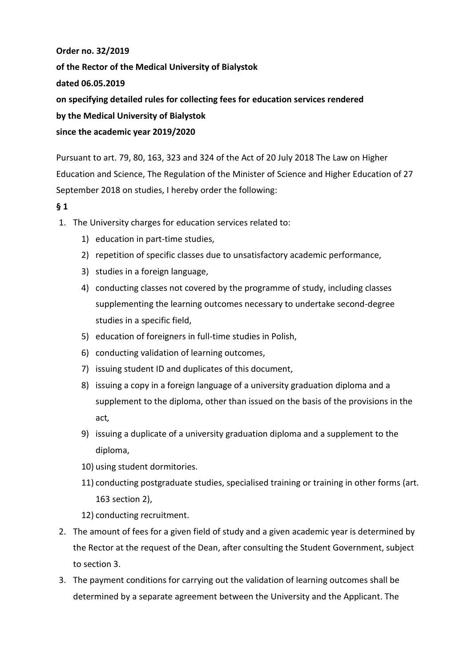**Order no. 32/2019 of the Rector of the Medical University of Bialystok dated 06.05.2019 on specifying detailed rules for collecting fees for education services rendered by the Medical University of Bialystok since the academic year 2019/2020**

Pursuant to art. 79, 80, 163, 323 and 324 of the Act of 20 July 2018 The Law on Higher Education and Science, The Regulation of the Minister of Science and Higher Education of 27 September 2018 on studies, I hereby order the following:

### **§ 1**

- 1. The University charges for education services related to:
	- 1) education in part-time studies,
	- 2) repetition of specific classes due to unsatisfactory academic performance,
	- 3) studies in a foreign language,
	- 4) conducting classes not covered by the programme of study, including classes supplementing the learning outcomes necessary to undertake second-degree studies in a specific field,
	- 5) education of foreigners in full-time studies in Polish,
	- 6) conducting validation of learning outcomes,
	- 7) issuing student ID and duplicates of this document,
	- 8) issuing a copy in a foreign language of a university graduation diploma and a supplement to the diploma, other than issued on the basis of the provisions in the act*,*
	- 9) issuing a duplicate of a university graduation diploma and a supplement to the diploma,
	- 10) using student dormitories.
	- 11) conducting postgraduate studies, specialised training or training in other forms (art. 163 section 2),
	- 12) conducting recruitment.
- 2. The amount of fees for a given field of study and a given academic year is determined by the Rector at the request of the Dean, after consulting the Student Government, subject to section 3.
- 3. The payment conditions for carrying out the validation of learning outcomes shall be determined by a separate agreement between the University and the Applicant. The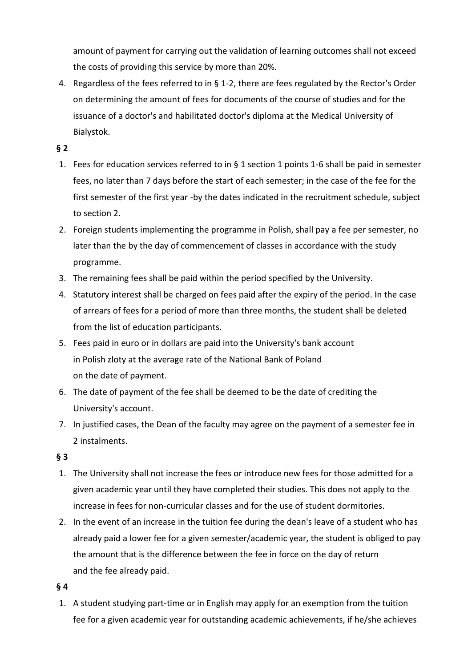amount of payment for carrying out the validation of learning outcomes shall not exceed the costs of providing this service by more than 20%.

4. Regardless of the fees referred to in § 1-2, there are fees regulated by the Rector's Order on determining the amount of fees for documents of the course of studies and for the issuance of a doctor's and habilitated doctor's diploma at the Medical University of Bialystok.

### **§ 2**

- 1. Fees for education services referred to in § 1 section 1 points 1-6 shall be paid in semester fees, no later than 7 days before the start of each semester; in the case of the fee for the first semester of the first year -by the dates indicated in the recruitment schedule, subject to section 2.
- 2. Foreign students implementing the programme in Polish, shall pay a fee per semester, no later than the by the day of commencement of classes in accordance with the study programme.
- 3. The remaining fees shall be paid within the period specified by the University.
- 4. Statutory interest shall be charged on fees paid after the expiry of the period. In the case of arrears of fees for a period of more than three months, the student shall be deleted from the list of education participants.
- 5. Fees paid in euro or in dollars are paid into the University's bank account in Polish zloty at the average rate of the National Bank of Poland on the date of payment.
- 6. The date of payment of the fee shall be deemed to be the date of crediting the University's account.
- 7. In justified cases, the Dean of the faculty may agree on the payment of a semester fee in 2 instalments.

### **§ 3**

- 1. The University shall not increase the fees or introduce new fees for those admitted for a given academic year until they have completed their studies. This does not apply to the increase in fees for non-curricular classes and for the use of student dormitories.
- 2. In the event of an increase in the tuition fee during the dean's leave of a student who has already paid a lower fee for a given semester/academic year, the student is obliged to pay the amount that is the difference between the fee in force on the day of return and the fee already paid.

#### **§ 4**

1. A student studying part-time or in English may apply for an exemption from the tuition fee for a given academic year for outstanding academic achievements, if he/she achieves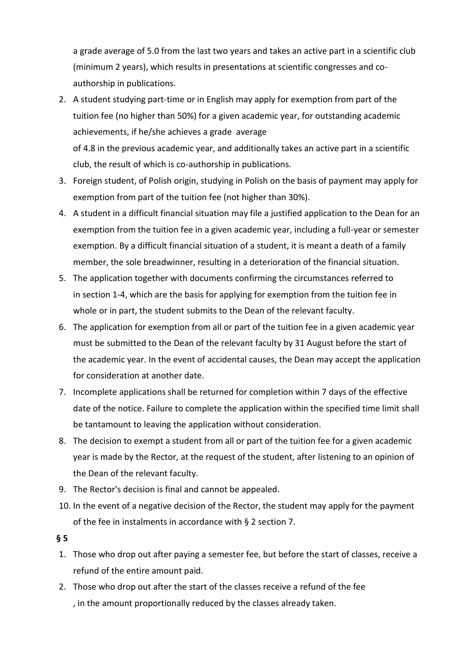a grade average of 5.0 from the last two years and takes an active part in a scientific club (minimum 2 years), which results in presentations at scientific congresses and coauthorship in publications.

- 2. A student studying part-time or in English may apply for exemption from part of the tuition fee (no higher than 50%) for a given academic year, for outstanding academic achievements, if he/she achieves a grade average of 4.8 in the previous academic year, and additionally takes an active part in a scientific club, the result of which is co-authorship in publications.
- 3. Foreign student, of Polish origin, studying in Polish on the basis of payment may apply for exemption from part of the tuition fee (not higher than 30%).
- 4. A student in a difficult financial situation may file a justified application to the Dean for an exemption from the tuition fee in a given academic year, including a full-year or semester exemption. By a difficult financial situation of a student, it is meant a death of a family member, the sole breadwinner, resulting in a deterioration of the financial situation.
- 5. The application together with documents confirming the circumstances referred to in section 1-4, which are the basis for applying for exemption from the tuition fee in whole or in part, the student submits to the Dean of the relevant faculty.
- 6. The application for exemption from all or part of the tuition fee in a given academic year must be submitted to the Dean of the relevant faculty by 31 August before the start of the academic year. In the event of accidental causes, the Dean may accept the application for consideration at another date.
- 7. Incomplete applications shall be returned for completion within 7 days of the effective date of the notice. Failure to complete the application within the specified time limit shall be tantamount to leaving the application without consideration.
- 8. The decision to exempt a student from all or part of the tuition fee for a given academic year is made by the Rector, at the request of the student, after listening to an opinion of the Dean of the relevant faculty.
- 9. The Rector's decision is final and cannot be appealed.
- 10. In the event of a negative decision of the Rector, the student may apply for the payment of the fee in instalments in accordance with § 2 section 7.
- **§ 5**
- 1. Those who drop out after paying a semester fee, but before the start of classes, receive a refund of the entire amount paid.
- 2. Those who drop out after the start of the classes receive a refund of the fee , in the amount proportionally reduced by the classes already taken.